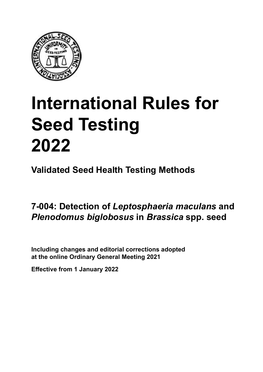

# **International Rules for Seed Testing von Saatgut 2022 2022 Semences 2022 International Rules for Seed Testing 2022**

**Métodos Validados para Análisis de Sanidad de Semillas Validate Méthodes Validées pour Analyse Sanitaire des Semences Validated Seed Health Testing Methods**

**7‑004: Detección de** *Leptosphaeria maculans* **y**  *Plenodomus biglobosus* in *Brassica* son seed **spp. 7‑004: Nachweis von** *Leptosphaeria maculans* **und**  *Plenodomus biglobosus* **an** *Brassica* **spp. Détection de** *Leptosphaeria maculans* **et** *Plenodomus biglobosus* **sur semences de**  *Brassica* **spp. Detection of** *Leptosphaeria maculans* **and in** *Brassica* **spp. seed**

Including changes and editorial corrections adopted at the online Ordinary General Meeting 2021

**Effective from 1 January 2022**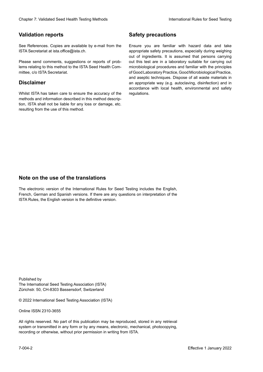### **Validation reports**

See References. Copies are available by e-mail from the<br>ISTA Secretariat at ista.office@ista.ch. ISTA Secretariat at ista.office@ista.ch.

lems relating to this method to the ISTA Seed Health Com-<br>mittee, c/o ISTA Secretariat. mittee, c/o ISTA Secretariat.<br>i Please send comments, suggestions or reports of prob-

### **Limitation de responsabilité Disclaimer**

Whilst ISTA has taken care to ensure the accuracy of the<br>methods and information described in this method description, ISTA shall not be liable for any loss or damage, etc.<br>resulting from the use of this method.<br>. resulting from the use of this method. Whilst ISTA has taken care to ensure the accuracy of the methods and information described in this method descrip-<br>tion, ISTA shall not be liable for any loss or damage, etc. tion, ISTA shall not be liable for any loss or damage, etc.<br>resulting from the use of this method.

## **Medidas de seguridad Sicherheitsmaßnahmen Sécurité Safety precautions**

Ensure you are familiar with hazard data and take Ensure you are familiar with hazard data and take<br>appropriate safety precautions, especially during weighing out of ingredients. It is assumed that persons carrying out this test are in a laboratory suitable for carrying out microbiological procedures and familiar with the principles of Good Laboratory Practice, Good Microbiological Practice, and aseptic techniques. Dispose of all waste materials in an appropriate way (e.g. autoclaving, disinfection) and in accordance with local health, environmental and safety regulations. Glade 7: Validated Deed Health Testing holesdos<br>
Gallet Corresponds<br>
Validation responds we are stated as the context of productional context of the stated delayed of the stated delayed about the state of the Saat guide Co microbiological procedures and familiar with the principles<br>of Good Laboratory Practice, Good Microbiological Practice,<br>and aseptic techniques. Dispose of all waste materials in<br>an appropriate way (e.g. autoclaving, disinf fallstoffe sind auf geeignete Weise und entsprechend der vor Ort über der vor Ort über und Umwelt- und Umwelt-<br>Eine und Umwelt-Effective Counter of Nicholas Devel Teach Teach Teach Devel Safety precedutions<br>
Yaristotic energy of Safety precedutions and Safety precedutions of the United Safety precedutions of the United Sementary and Sementary and of Good Laboratory Practice, Good Microbiological Practice,<br>and aseptic techniques. Dispose of all waste materials in<br>an appropriate way (e.g. autoclaving, disinfection) and in Validation reports<br>
Since The Texture 1988 and the mediator of the Since Theorem and Texture 1990 and the mediator of the mediator<br>
Since and outer many construction reports of the mediator of the mediator<br>
Since and outer Ensure you are familiar with hazard data and take<br>appropriate safety precautions, especially during weighing<br>out of ingredients. It is assumed that persons carrying<br>out this test are in a laboratory suitable for carrying o

## **Nota sobre el uso de traducciones Anmerkung zur Benutzung der Übersetzungen Note on the use of the translations**

The electronic version of the International Rules for Seed Testing includes the English, French, German and Spanish versions. If there are any questions on interpretation of the ISTA Rules, the English version is the definitive version. The electronic version of the International Rules for Seed Testing includes the English,<br>French, German and Spanish versions. If there are any questions on interpretation of the<br>ISTA Rules, the English version is the defin The electronic version of the International Rules for Seed Testing includes the English,<br>French, German and Spanish versions. If there are any questions on interpretation of the

Published by **Extending Association (ISTA)** The International Seed Testing Association (ISTA) Zürichstr. 50, CH-8303 Bassersdorf, Switzerland

© 2022 International Seed Testing Association (ISTA)

Alle Rechte vorbehalten. Kein Teil dieses Werkes darf in irgendwelcher Form oder durch Online ISSN 2310-3655

All rights reserved. No part of this publication may be reproduced, stored in any retrieval All rights reserved. No part of this publication may be reproduced, stored in any retrieval<br>system or transmitted in any form or by any means, electronic, mechanical, photocopying,<br>recording or otherwise, without prior per recording or otherwise, without prior permis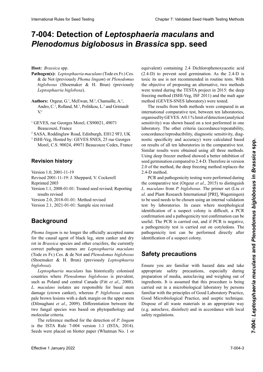# 7-004: Detection of *Leptosphaeria maculans* and *Plenodomus biglobosus* in *Brassica* spp. seed

**Host:** *Brassica* spp.

- **Pathogen(s):** Leptosphaeria maculans (Tode ex Fr.) Ces.<br>& de Not (previously *Phoma lingam*) or *Plenodomus* & de Not (previamente *Phoma lingam)* o *Plenodomus*  & de Not (previously *Phoma lingam*) or *Plenodomus*  biglobosus (Shoemaker & H. Brun) (previously *Leptosphaeria biglobosa*) mals *Leptosphaeria biglobosa*) *Leptosphaeria biglobosa*).
- Authors: Orgeur, G.<sup>1</sup>, McEwan, M.<sup>2</sup>, Chamaille, A.<sup>1</sup>,  $\Delta$ ndro,  $C^{\perp}$  Dolland,  $M^{\perp}$  Dolitikou, L.3 and Grimault  $V<sub>1</sub>$  maro, C., romana,  $W<sub>1</sub>$ , romanca,  $E<sub>2</sub>$  and Grimaa. couzé, France Andro, C.<sup>1</sup>, Rolland, M.<sup>1</sup>, Politikou, L.<sup>3</sup> and Grimault GEVES, rue Georges Morel, CS90021, 49071  $V<sup>1</sup>$
- <sup>1</sup> GEVES, rue Georges Morel, CS90021, 49071 Beaucouze, France  $B^{\text{R}}$ <sup>1</sup> GEVES, rue Georges Morel, CS90021, 49071 Beaucouzé, France
- $\frac{2}{3}$  SASA, Roddinglaw Road, Edinburgh, EH12 9FJ, UK
- **Historial de revisiones** Morel, C.S. 90024, 49071 Beaucouze Cedex, France 3 ISHI-Veg, Hosted by: GEVES SNES, 25 rue Georges

#### Versión 1.0, 2001-11-19 **Revision history**

Version 1.0, 2001-11-19

Revised 2001-11-19: J. Sheppard, V. Cockerell

Reprinted 2003

Version 1.1, 2008-01-01: Treated seed revised; Reporting results revised

Version 2.0, 2018-01-01: Method revised

Version 2.1, 2021-01-01: Sample size revised **Hintergrund**

## para el agente causal del pie negro, el cancro del tallo y *Phoma lingam* ist nicht mehr der offiziell akzeptier-**Background Historique**

*Phoma lingam* is no longer the officially accepted name<br>for the causal agent of black leg stem canker and dry for the causal agent of black leg, stem canker and dry rot in *Brassica* species and other crucifers, the currently correct pathogen names are *Leptosphaeria maculans*<br>(Tode ex Er) Ces & de Not and *Plenodomus* higlobosus Históricamente *Leptosphaeria maculans* ha coloniza-*Leptosphaeria biglobosa*). (Tode ex Fr.) Ces. & de Not and *Plenodomus biglobosus*  $\overline{\text{d}}$  Choemsker  $\overline{\text{k}}$  H Rrun) (previously Lentosnhaevia *Plenodomus biglobosus*, (Fit *et al*., 2008). Aislamientos (Shoemaker & H. Brun) (previously *Leptosphaeria*<br>biglobosa).<br>*Leptosphaeria maculans* has historically colonised *biglobosa*).

de *L. maculans* son responsables del daño basal del tallo (cancro del cuello), mientras que *P. biglobosus* causa lesio-countries where *Plenodomus biglobosus* is prevalent, such as Poland and central Canada (Fitt et al., 2008). suen as Foland and central canada (Fitt *et al.*, 2000).  $c_n$  muchums isolates are responsible for basár siem fitopatológicos y moleculares. (Dilmaghani *et al*., 2009). Die Unterscheidung zwischen beiden Pilzen basiert auf phytopathologischen und mole-damage (crown canker), whereas *P. biglobosus* causes pale brown lesions with a dark margin on the upper stem pare brown resions with a dark margin on the upper stem<br>(Dilmaghani *et al.*, 2009). Differentiation between the two fungal species was based on phytopathology and o equivalente en exteria ácido Diclorofenoxiacético que contenida en el contenido de la contenidad de la contenidad de la contenidad de la contenidad de la contenidad de la contenidad de la contenidad de la contenidad de l biglobosa).<br>Leptosphaeria maculans has historically colonised<br>separties where Planedowns historically colonised such as Poland and central Canada (Fitt et al., 2008).<br>L. maculans isolates are responsible for basal stem<br>damage (crown canker), whereas P. biglobosus causes *L. maculans* isolates are responsible for basal stem

The reference method for the detection of *P. lingam* two fungal species was based on phytopathology and<br>molecular criteria.<br>The reference method for the detection of *P. lingam*<br>is the ISTA Rule 7-004 version 1.1 (ISTA, 2014). Seeds were placed on blotter paper (Whatman No. 1 or equivalent) containing 2.4 Dichlorophenoxyacetic acid  $(2.4-D)$  to prevent seed germination. As the 2.4-D is toxic its use is not recommended in routine tests. With the objective of proposing an alternative, two methods were tested during the TESTA project in 2015: the deep freezing method (ISHI-Veg, ISF 2011) and the malt agar<br>method (GEVES SNES laboratory) were tested method (GEVES-SNES laboratory) were tested.

 $\frac{1}{2}$  The results from both methods were compared in an de 1,1 % (sensibilität de 1,1 % (contractive). Los otros compliados (conmerhanonal comparative lest, between ten laboratories, organised by GEVES. A 0.1 % limit of detection (analytical sensibilidad de diagnóstico, especificada de diagnóstico de diagnóstico de diagnóstico, especificada de diagnós merhadonal comparative test, between ten haboratories,<br>organised by GEVES. A 0.1% limit of detection (analytical<br>sensitivity) was shown based on a test performed in one laboratory. The other criteria (accordance/repeatability, concordance/reproducibility, diagnostic sensitivity, diagconcordance/reproductionity, diagnostic sensitivity, diag-<br>nostic specificity and accuracy) were calculated based on results of all ten laboratories in the comparative test. Similar results were obtained using all three methods. Using deep freezer method showed a better inhibition of seed germination compared to 2.4-D. Therefore in version 2.0 of the method, the deep freezing method replaces the guir *L. maculans* de *P. biglobosus*. El conjunto de primers 2.4-D method. Hence *Hence the Street Protocology* space in the pair since  $H$  and the best method of the best proposition in the since the state and the continue of the best method of the continue of the best method of the continue of Hence *Hence the Street Protocology* space in the pair since  $H$  and the best method of the best proposition in the since the state and the continue of the best method of the continue of the best method of the continue of The results from both methods were compared in an<br>international comparative test, between ten laboratories, diance du vie reproduction direction de la production de la concentration de la concentration de la concentration de la concentration de la concentration de la concentration de la concentration de la concentration de la co sensitivity) was shown based on a test performed in one raboratory. The other criteria (accordance/repeatability, diagnostic sensitivity, diagnostic specificity and accuracy) were calculated based<br>on results of all ten laboratories in the comparative test. International Rule International Rule of Chapter 3: Online and Chapter 1: Validated Seed Testing Chapter 3: International Rule and Testing Chapter 3: International Rule and Testing Chapter 3: Validated Seed Testing Chapte nostic specificity and accuracy) were calculated based

2.4-D method.<br>PCR and pathogenicity testing were performed during the comparative test (Orgeur *et al.*, 2015) to distinguish the comparative test (Orgeur *et al.*, 2015) to distinguish *L. maculans* from *P. biglobosus*. The primer set (Liu *et* al. and Plant Research International [PRI], Wageningen) al. and Plant Research International [PRI], Wageningen)<br>to be used needs to be chosen using an internal validation test by laboratories. In cases where morphological<br>identification of a suspect colony is difficult, a PCR identification of a suspect colony is difficult, a PCR confirmation and a pathogenicity test confirmation can be useful. The PCR is carried out, and if PCR is negative, a pathogenicity test is carried out on cotyledons. The **Medidante** de subpect colony. **Sicherheitsmaßnahmen Mesures de sécurité** identification of a suspect colony. *L. maculans* from *P. biglobosus*. The primer set (Liu *et al.* and Plant Research International [PRI], Wageningen) to be used needs to be chosen using an internal validation test by laboratories. In cases where morpholog pathogenicity test can be performed directly after

#### **Safety precautions** riesgos y tomar las medidas de seguridad apropiadas, esmaßnahmen, insbesondere während der Herstellung der

pecial preparación de culture de cultivo, en medios de cultivo, en medios de cultivo, en medios de cultivo, en appropriate safety precautions, especially during appropriate safety predations, especially daring<br>preparation of media, autoclaving and weighing out of ingredients. It is assumed that this procedure is being de Laboratorio, Buenas Prócedure is being<br>carried out in a microbiological laboratory by persons  $\frac{1}{2}$  as  $\frac{1}{2}$  as  $\frac{1}{2}$  as  $\frac{1}{2}$  and  $\frac{1}{2}$  are  $\frac{1}{2}$  and  $\frac{1}{2}$  are  $\frac{1}{2}$  and  $\frac{1}{2}$  are  $\frac{1}{2}$  and  $\frac{1}{2}$  are  $\frac{1}{2}$  and  $\frac{1}{2}$  are  $\frac{1}{2}$  and  $\frac{1}{2}$  are  $\frac{1}{2}$  and  $\alpha$  formal with the principles of Good Laboratory Fractice, Good Microbiological Practice, and aseptic technique. safety regulations. schen Praxis und der stern arbeitstechnik vertraut sind. Der stern Arbeitstellen aus der Stern Arbeitstellen aus der Stern aus der Stern aus der Programmen aus der Programmen aus der Programmen aus der Programmen aus der P familiar with the principles of Good Laboratory Practice, Dispose of all waste materials in an appropriate way (e.g. autoclave, disinfect) and in accordance with local **Safety precautions**<br>Ensure you are familiar with hazard data and take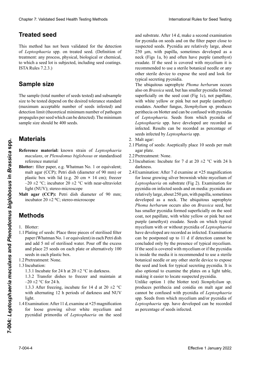## **Behandeltes (gebeiztes) Saatgutel und lot de secondeltes entre les environs les environs les environs les environs les environs les environs les environs les environs les environs les environs les environs les environs le**

This method has not been validated for the detection to which a seed lot is subjected, including seed coatings. of *Leptosphaeria* spp. on treated seed. (Definition of treatment: any process, physical, biological or chemical,  $\text{ISTA Rules } 7.2.3.$ )

El tamaño de la muestra (número total de semillas ana-

tées) et la taille des sous-échantillons à tester dépendent

#### la tolerancia estándar deseada (número máximo aceptable de semillas infestadas) y del límite de detección (número **Probengröße Sample size**

lungen. ISTA Rules 7.2.3.)

The sample (total number of seeds tested) and subsample nde sumpre (com numest er seem conceptual) and substantipreexperience of the Umperial on the desired test and contained standard (maximum acceptable number of seeds infested) and propaguies per se<br>sample size shou  $\frac{1}{2}$  detection  $\frac{1}{2}$  the constitutional accompany and action of nother conactivition nunt (involvited inimitian nuntoer of pathogen propagules per seed which can be detected). The minimum sample size should be 400 seeds. **Sample size**<br>The sample (total number of seeds tested) and subsample<br>size to be tested depend on the desired tolerance standard detection limit (theoretical minimum number of pathogen<br>propagules per seed which can be detected). The minimum

#### *maculans* o *Plenodomus biglobosus* o material de refe-**Materials** *maculans*, ou *Plenodomus biglobosus* ou matériel de référence standardisé **Buvard:** papier filtre, p. ex. What when  $\mathbf{p}$

- **Papel secante:** papel de filtro, ej. Whatman N° 1 o equierence material: known strain of *Leptosphaeria* de diámetro) o cajas plásticas con tapa (ej. 20 cm **× Referenzmaterial:** Bekanntes Isolat von *Leptosphaeria maculans*, or *Plenodomus biglobosus* or standardised reference material maculans, or *Plenodomus biglobosus* or standardised<br>reference material<br>**Blotter:** filter paper, e.g. Whatman No. 1 or equivalent; **Material** valent ; malt agar (CCP) ; boite de Petri (di-**Reference material:** known strain of *Leptosphaeria*
- malt agar (CCP); Petri dish (diameter of 90 mm) or plastic box with lid (e.g. 20 cm × 14 cm); freezer  $-20 \pm 2$  °C; incubator  $20 \pm 2$  °C with near-ultraviolet light (NUV); stereo-microscope
- incubator 20 ±2 °C; stereo-microscope Malt agar (CCP): Petri dish diameter of 90 mm;

### **1.1 Siembra de semillas: Poner 3 piezas de papier filtre stérilisées (Whatman no semillar stérilisées (Whatman no se Methoden**

- 1. **Blotter:**
- **Methods**<br>1. Blotter:<br>1.1 Plating of seeds: Place three pieces of sterilised filter paper (Whatman No. 1 or equivalent) in each Petri dish and add 5 ml of sterilised water. Pour off the excess and place 25 seeds on each plate or alternatively 100 seeds in each plastic box.<br>1.2 Pretreatment: None
- 1.2 Pretreatment: None.<br>1.2 Pretreatment: None.
- 1.3 Incubation:
- 1.3 Heddurch.<br>1.3.1 Incubate for 24 h at 20  $\pm$ 2 °C in darkness.

1.3.1 Houston for  $2 + m$  at  $20 \pm 2$  or m darknows.  $20 \pm 2.9 \times 24.1$  $1.3.1 \text{ m}$ 1.3.1 Include for  $24$  h at  $20 \pm 2$  °C in during est.<br>1.3.2 Transfer dishes to freezer and maintain at  $-20 \pm 2$  °C for 24 h.

 $\frac{-20 \pm 2 \text{ cm}}{1.3.3 \text{ After freezing, incubate for 14 d at 20 } \pm 2 \text{ °C}}$ 1.9.9 ARCI RECZING, INCLUDE DE 17 U al  $20 \pm 2$  C while anothaling 12 If periods of datkness and typer de picnidios de *Leptosphaeria* en la semilla y en el sus-1.3.3 And  $\text{if } 12 + 24 = 24$ 1.3.3 Nach dem Einfrieden, Inkubation für 14 dem Einem Rhythmus von 12 h Dunkelheit.<br>19 dem Rhythmus von 12 h Dunkelheit einem Rhythmus von 12 h Dunkelheit.  $\frac{15.53 \text{ After freezing, induced to 14 at } 20 \pm 2000 \text{ with alternating } 12 \text{ h periods of darkness and NUV}$ light.

1.4 Examination: After 11 d, examine at **×**25 magnification para proving silver while mycellum and 101 100se growing silver while mycellum and<br>pycnidial primordia of *Leptosphaeria* on the seed *Leptonsphaeria* Supposition: After 11 d, examine at  $\times$ 25 magnification<br>for loose growing silver white mycelium and<br>pycnidial primordia of *Leptosphaeria* on the seed for loose growing silver white mycelium and

and substrate. After 14 d, make a second examination and substrate. After 14 d, make a second examination<br>for pycnidia on seeds and on the filter paper close to suspected seeds. Pycnidia are relatively large, about 250 µm, with papilla, sometimes developed as a neck (Figs 1a, b) and often have purple (amethyst) neck (Figs 1a, b) and often have purple (amethyst) exudate. If the seed is covered with mycelium it is<br>recommended to use a sterile botanical needle or any recommended to use a sterile botanical needle or any other sterile device to expose the seed and look for<br>typical secreting pycnidia typical secreting pycnidia. typical secreting pycnidia.<br>The ubiquitous saprophyte Phoma herbarum occurs

also on *Brassica* seed, but has smaller pycnidia formed<br>superficially on the seed cost (Fig. 1c), not papillate superficially on the seed coat (Fig 1c), not papillate,<br>with white vellow or pink but pet pyrole (appethyct) superflacing on the secure cone (1.g 10), her pupintum,<br>with white yellow or pink but not purple (amethyst) exudates. Another fungus, *Stemphylium* sp. produces perithecia on blotter and can be confused with pycnidia perimeent off *offorcer* and can be comassed with pycnidia<br>of *Leptosphaeria*. Seeds from which pycnidia of Leptosphaeria. Secas from which pychida of<br>Leptosphaeria spp. have developed are recorded as<br>infected. Results can be recorded as percentage of Leprosphaeria spp. have developed are recorded as<br>infected. Results can be recorded as percentage of *Lepton.* **Results** seeds infected by *Leptosphaeria* spp. of *Leptosphaeria*. Seeds from which pycnidia of<br>*Leptosphaeria* spp. have developed are recorded as  $\mathbf{m}$ seeds infected by *Leptosphaeria* spp.

- 2. Malt agar:
- 2. Mail agar: Colocar asépticamente 10 semi-Plating of seeds: Aseptical agar plate. *Leptosphaeria* spp. infizierter Samen berichtet.  $2.1$  Plating  $\sigma$ agar plate. Ensement des semences : Placer aseptiquement des semences : Placer aseptiquement des semences : Placer aseptiquem<br>Placer aseptiquement des semences : Placer as placer as placer as placer as placer as placer as placer as pl 2.1 Plating of seeds: Aseptically place 10 seeds per malt agar plate. agar plate.
- 2.2 Pretreatment: None. Pretreatment: Non 2.2 Pretreatment: None.
- 2.3 Incubation: Incubate for 7 d at 20  $\pm$ 2 °C with 24 h darkness. darkness. darkness.
- 2.4 Examination: After 7 d examine at **×**25 magnification for loose growing silver brownish white mycelium of for loose growing silver brownish white mycelium of *Leptosphaeria* on substrate (Fig 2). Examination for pycnidia on infected seeds and on media: pycnidia are relatively large, about  $250 \mu m$ , with papilla, sometimes developed as a neck. The ubiquitous saprophyte *Phoma herbarum* occurs also on *Brassica* seed, but has smaller pycnidia formed superficially on the seed has smaller pycnidia formed superficially on the seed coat, not papillate, with white yellow or pink but not purple (amethyst) exudate. Seeds on which typical mycelium with or without pycnidia of *Leptosphaeria*<br>have develoned are recorded as infected. Examination have developed are recorded as infected. Examination can be postponed up to 11 d if detection cannot be purple (amethyst) exudate. Seeds on which typical<br>mycelium with or without pycnidia of *Leptosphaeria*<br>have developed are recorded as infected. Examination<br>can be postponed up to 11 d if detection cannot be<br>concluded only If the seed is covered with mycelium or if the pycnidia is inside the media it is recommended to use a sterile<br>botanical needle or any other sterile device to expose botanical needle or any other sterile device to expose the seed and look for typical secreting pycnidia. It is the seed and foot for typical secreting pycindial for making it easier to locate suspected pycnidia. Clearles 7. Validated Seed Health Territo Rolls (ab Territo Methods)<br>
The absolute state of the state and the state and the state and the state and the state and the state of the state and the state and the state and the the seed and look for typical secreting pycnidia. It is<br>also optional to examine the plates on a light table,<br>making it essign to least a warented munities Cheape 7 Validient Seed Health Forming heating the methods have been determined in the spin of the spin of the spin of the spin of the spin of the spin of the spin of the spin of the spin of the spin of the spin of the sp darkness.<br>Examination: After 7 d examine at  $\times 25$  magnification<br>for loose growing silver brownish white mycelium of<br>*Leptosphaeria* on substrate (Fig 2). Examination for<br>pycnidia on infected seeds and on media: pycnidia is inside the media it is recommended to use a sterile<br>botanical needle or any other sterile device to expose<br>the seed and look for typical secreting pycnidia. It is<br>also optional to examine the plates on a light table,<br>ma **EFFECTIFY EFFECTIFY EXECTIFY EXECTIFY EXECTIFY EXECTIFY EXECTIFY EXECTIFY EXECTIFY EXECTIFY EXECTIFY EXECTIFY EXECTIFY EXECTIFY EXECTIFY EXECTIFY EXECTIFY EXECTIFY EXECTIFY EXECTIFY** for loose growing silver brownish white mycelium of concluded only by the presence of typical mycelium. also optional to examine the plates on a light table,

nidios sospected pythina.<br>Unlike option 1 (the blotter test) *Stemphylium* sp. educes perithecia and conidia on malt agar and produces perithecia and conidia on malt agar and produces peritecta and comuna on mail agai and produces permiecta and comula of matt agai and<br>cannot be confused with pycnidia of *Leptosphaeria*<br>spp. Seeds from which mycelium and/or pycnidia of<br>*Leptosphaeria* spp. have developed can be recorded spp. Seeds from which mycelium and/or pycnidia of Leptosphaeria spp. have developed can be recorded as percentage of seeds infected.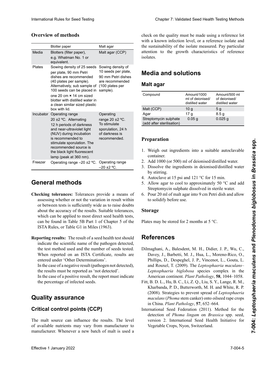#### **Overview of methods**

|                                                                                                                                                                                                                                                                                                                                                                                                                                                                                               | International Rules for Seed Testing                                                                                                                                                                                                                                                                                                                                                                                        |                                                                                   |                                                                                                                                                                                                                                                                                                                                                                                                                                                                                                                                                       |                                                    | Chapter 7: Validated Seed Health Testing Methods  |
|-----------------------------------------------------------------------------------------------------------------------------------------------------------------------------------------------------------------------------------------------------------------------------------------------------------------------------------------------------------------------------------------------------------------------------------------------------------------------------------------------|-----------------------------------------------------------------------------------------------------------------------------------------------------------------------------------------------------------------------------------------------------------------------------------------------------------------------------------------------------------------------------------------------------------------------------|-----------------------------------------------------------------------------------|-------------------------------------------------------------------------------------------------------------------------------------------------------------------------------------------------------------------------------------------------------------------------------------------------------------------------------------------------------------------------------------------------------------------------------------------------------------------------------------------------------------------------------------------------------|----------------------------------------------------|---------------------------------------------------|
| <b>Overview of methods</b>                                                                                                                                                                                                                                                                                                                                                                                                                                                                    |                                                                                                                                                                                                                                                                                                                                                                                                                             |                                                                                   | check on the quality must be made using a reference lot<br>with a known infection level, or a reference isolate and                                                                                                                                                                                                                                                                                                                                                                                                                                   |                                                    |                                                   |
|                                                                                                                                                                                                                                                                                                                                                                                                                                                                                               | <b>Blotter paper</b>                                                                                                                                                                                                                                                                                                                                                                                                        | Malt agar                                                                         | the sustainability of the isolate measured. Pay particular                                                                                                                                                                                                                                                                                                                                                                                                                                                                                            |                                                    |                                                   |
| Media                                                                                                                                                                                                                                                                                                                                                                                                                                                                                         | Blotters (filter paper),<br>e.g. Whatman No. 1 or<br>equivalent.                                                                                                                                                                                                                                                                                                                                                            | Malt agar (CCP)                                                                   | attention to the growth characteristics of reference<br>isolates.                                                                                                                                                                                                                                                                                                                                                                                                                                                                                     |                                                    |                                                   |
| <b>Plates</b>                                                                                                                                                                                                                                                                                                                                                                                                                                                                                 | Sowing density of 25 seeds<br>per plate, 90 mm Petri<br>dishes are recommended<br>(40 plates per sample).                                                                                                                                                                                                                                                                                                                   | Sowing density of<br>10 seeds per plate,<br>90 mm Petri dishes<br>are recommended | <b>Media and solutions</b><br><b>Malt agar</b>                                                                                                                                                                                                                                                                                                                                                                                                                                                                                                        |                                                    |                                                   |
|                                                                                                                                                                                                                                                                                                                                                                                                                                                                                               | Alternatively, sub sample of<br>100 seeds can be placed in sample).<br>one 20 cm × 14 cm sized<br>blotter with distilled water in<br>a clean similar sized plastic                                                                                                                                                                                                                                                          | (100 plates per                                                                   | Compound                                                                                                                                                                                                                                                                                                                                                                                                                                                                                                                                              | Amount/1000<br>ml of deionised/<br>distilled water | Amount/500 ml<br>of deionised/<br>distilled water |
|                                                                                                                                                                                                                                                                                                                                                                                                                                                                                               | box with lid.<br>Incubator Operating range<br>20 ±2 °C. Alternating                                                                                                                                                                                                                                                                                                                                                         | Operating<br>range $20 \pm 2$ °C.                                                 | Malt (CCP)<br>Agar<br>Streptomycin sulphate                                                                                                                                                                                                                                                                                                                                                                                                                                                                                                           | 10 <sub>g</sub><br>17 g<br>0.05 <sub>g</sub>       | 5 g<br>8.5 <sub>g</sub><br>$0.025$ g              |
|                                                                                                                                                                                                                                                                                                                                                                                                                                                                                               | 12 h periods of darkness<br>and near-ultraviolet light<br>(NUV) during incubation<br>is recommended to<br>stimulate sporulation. The<br>recommended source is<br>the black light fluorescent<br>lamp (peak at 360 nm).                                                                                                                                                                                                      | To stimulate<br>sporulation, 24 h<br>of darkness is<br>recommended.               | (add after sterilisation)<br>Preparation<br>1. Weigh out ingredients into a suitable autoclavable<br>container.                                                                                                                                                                                                                                                                                                                                                                                                                                       |                                                    |                                                   |
| Freezer                                                                                                                                                                                                                                                                                                                                                                                                                                                                                       | Operating range $-20 \pm 2$ °C.                                                                                                                                                                                                                                                                                                                                                                                             | Operating range<br>$-20$ ±2 °C.                                                   | 2. Add 1000 (or 500) ml of deionised/distilled water.<br>3. Dissolve the ingredients in deionised/distilled water<br>by stirring.                                                                                                                                                                                                                                                                                                                                                                                                                     |                                                    |                                                   |
|                                                                                                                                                                                                                                                                                                                                                                                                                                                                                               | <b>General methods</b><br>Checking tolerances: Tolerances provide a means of<br>assessing whether or not the variation in result within<br>or between tests is sufficiently wide as to raise doubts<br>about the accuracy of the results. Suitable tolerances,<br>which can be applied to most direct seed health tests,<br>can be found in Table 5B Part 1 of Chapter 5 of the<br>ISTA Rules, or Table G1 in Miles (1963). |                                                                                   | 5. Allow agar to cool to approximately 50 °C and add<br>Streptomycin sulphate dissolved in sterile water.<br>6. Pour 20 ml of malt agar into 9 cm Petri dish and allow<br>to solidify before use.<br><b>Storage</b><br>Plates may be stored for 2 months at $5^{\circ}$ C.                                                                                                                                                                                                                                                                            |                                                    |                                                   |
| Reporting results: The result of a seed health test should<br>indicate the scientific name of the pathogen detected,<br>the test method used and the number of seeds tested.<br>When reported on an ISTA Certificate, results are<br>entered under 'Other Determinations'.<br>In the case of a negative result (pathogen not detected),<br>the results must be reported as 'not detected'.<br>In the case of a positive result, the report must indicate<br>the percentage of infected seeds. |                                                                                                                                                                                                                                                                                                                                                                                                                             |                                                                                   | <b>References</b><br>Dilmaghani, A., Balesdent, M. H., Didier, J. P., Wu, C.,<br>Davey, J., Barbetti, M. J., Hua, L., Moreno-Rico, O.,<br>Phillips, D., Despeghel, J. P., Vincenot, L., Gouta, L.<br>and Rouxel, T. (2009). The Leptosphaeria maculans-<br>Leptosphaeria biglobosa species complex in the<br>American continent. Plant Pathology, 58, 1044-1058.<br>Fitt, B. D. L., Hu, B. C., Li, Z. Q., Liu, S. Y., Lange, R. M.,<br>Kharbanda, P. D., Butterworth, M. H. and White, R. P.<br>(2008). Strategies to prevent spread of Leptosphaeria |                                                    |                                                   |
|                                                                                                                                                                                                                                                                                                                                                                                                                                                                                               | <b>Quality assurance</b>                                                                                                                                                                                                                                                                                                                                                                                                    |                                                                                   | <i>maculans (Phoma stem canker)</i> onto oilseed rape crops<br>in China. Plant Pathology, 57, 652-664.                                                                                                                                                                                                                                                                                                                                                                                                                                                |                                                    |                                                   |
| <b>Critical control points (CCP)</b>                                                                                                                                                                                                                                                                                                                                                                                                                                                          |                                                                                                                                                                                                                                                                                                                                                                                                                             |                                                                                   | International Seed Federation (2011). Method for the<br>detection of Phoma lingam on Brassica spp. seed,                                                                                                                                                                                                                                                                                                                                                                                                                                              |                                                    |                                                   |
|                                                                                                                                                                                                                                                                                                                                                                                                                                                                                               | The malt source can influence the results. The level<br>of available nutrients may vary from manufacturer to<br>manufacturer. Whenever a new batch of malt is used a                                                                                                                                                                                                                                                        |                                                                                   | version 2. International Seed Health Initiative for<br>Vegetable Crops, Nyon, Switzerland.                                                                                                                                                                                                                                                                                                                                                                                                                                                            |                                                    |                                                   |
|                                                                                                                                                                                                                                                                                                                                                                                                                                                                                               | Effective 1 January 2022                                                                                                                                                                                                                                                                                                                                                                                                    |                                                                                   |                                                                                                                                                                                                                                                                                                                                                                                                                                                                                                                                                       |                                                    | 7-004-5                                           |

#### **General methods** sene Temperaturbereich General meth agén **General methods**

- **Checking tolerances:** Tolerances provide a means of assessing whether or not the variation in result within assessing whether or not the variation in result within or between tests is sufficiently wide as to raise doubts about the accuracy of the results. Suitable tolerances, about the accuracy of the results. Suitable tolerances, which can be applied to most direct seed health tests, can be found in Table 5B Part 1 of Chapter 5 of the<br>ISTA Rules, or Table G1 in Miles (1963). ISTA Rules, or Table G1 in Miles (1963). which can be applied to most direct seed health tests,<br>can be found in Table 5B Part 1 of Chapter 5 of the
- Reporting results: The result of a seed health test should the test method used and the number of seeds tested. When reported on an ISTA Certificate, results are entered under 'Other Determinations'. indicate the scientific name of the pathogen detected,<br>the test method used and the number of seeds tested

#### $\Omega$ uelity escuranos ial porcentale de semiliar el porcentale de semillas infectadas. El porcenta de semillas infectadas en el semi m Falle eines negativen Ergebnisses (Krankheitserreger nie haar die Ergebnisse als in die Ergebnisse als die Ergebnisse als die Ergebnisse als die Ergebnisse als<br>Geboortes **Quality assurance**

#### "nicht nachgewiesen" berichtet werden.  $m_{\rm gal}$  control politic (GGF) En cas de résultat position de la rapport de semences contains de semences contains et pour contains avec cont<br>Le pour contrait de semences contaminées. **Critical control points (CCP)**

# $\blacksquare$  and solutions **Media and solutions**

#### **tionsgrad oder eines Referenzisolates durch Bestimmung der Isolationsgrad oder eines Referenzisolates durch Bestimmung der Isolationsgrad oder eine Augen**especial atención a las características de crecimiento de los

| Malt agar                                          |                                                    |                                                   |  |  |  |  |
|----------------------------------------------------|----------------------------------------------------|---------------------------------------------------|--|--|--|--|
| Compound                                           | Amount/1000<br>ml of deionised/<br>distilled water | Amount/500 ml<br>of deionised/<br>distilled water |  |  |  |  |
| Malt (CCP)                                         | 10 <sub>q</sub>                                    | 5 g                                               |  |  |  |  |
| Agar                                               | 17 <sub>g</sub>                                    | 8.5 <sub>q</sub>                                  |  |  |  |  |
| Streptomycin sulphate<br>(add after sterilisation) | 0.05 <sub>q</sub>                                  | $0.025$ q                                         |  |  |  |  |
|                                                    |                                                    |                                                   |  |  |  |  |

#### Malt (CCP) 10 5 **Preparation**

- $\frac{1}{2}$  and  $\frac{1}{2}$  g  $\frac{1}{2}$  g  $\frac{1}{2}$  g  $\frac{1}{2}$  g  $\frac{1}{2}$  g  $\frac{1}{2}$  g  $\frac{1}{2}$  g  $\frac{1}{2}$  g  $\frac{1}{2}$  g  $\frac{1}{2}$  g  $\frac{1}{2}$  g  $\frac{1}{2}$  g  $\frac{1}{2}$  g  $\frac{1}{2}$  g  $\frac{1}{2}$  g  $\frac{1}{2}$  g  $\frac{1}{2}$  g  $\frac$  $\alpha$ , weigh our ingredients into a suitable a container. Wasser Wasser  $\ldots$   $\ldots$  $\frac{1}{10000}$  $W_{\alpha}$  and  $W_{\alpha}$  in  $\alpha$  and  $\alpha$  and  $\alpha$  suitable container. comanier. 1. Weigh out ingredients into a suitable autoclavable<br>container
- 2. Add 1000 (or 500)  $\Omega$ . And TOOO (of 500) in orderomsed/district 2. Add 1000 (or 500) ml of deionised/distilled water.
- 3. Dissolve the ingredients in deionised/distilled water by stirring.
- 4. Autoclave at 15 psi and 121 °C for 15 min.
- 5. Allow agar to cool to approximately 50 °C and add Streptomycin sulphate dissolved in sterile water.
- 6. Pour 20 ml of malt agar into 9 cm Petri dish and allow to solidify before use.

### desion in the 121 <sup>autoc</sup>laver à 121 au**toclaver à 121 autoclaver à 121 autoclave**r à 121 au

# estéril. 5. Agar auf ungefähr 50 °C abkühlen lassen und das in sterilem Wasser gelöste Streptomycinsulfat zugeben. diamètre) et laisser solidifier avant usage **References**

- Dilmaghani, A., Balesdent, M. H., Didier, J. P., Wu, C., **Almacenaje Lagerung** and Rouxel, T. (2009). The *Leptosphaeria maculans*– Leptosphaeria biglobosa species complex in the *Leptosphaeria bigtobosa* species complex in the American continent. *Plant Pathology*, **58**, 1044–1058. Les boites peuvent être stockées 2 mois à 5 °C. Phillips, D., Despeghel, J. P., Vincenot, L., Gouta, L. Davey, J., Barbetti, M. J., Hua, L., Moreno-Rico, O.,
- **Referencias** (2000). Strategies to prevent spread of *Leptosphiler in* (2006). Suategies to prevent spread of *Lepiosphaeria*<br>maculans (*Phoma* stem canker) onto oilseed rape crops in China. *Plant Pathology*, **57**, 652–664. Fitt, B. D. L., Hu, B. C., Li, Z. Q., Liu, S. Y., Lange, R. M., (2008). Strategies to prevent spread of *Leptosphaeria*  $\mu_{\text{max}}(R_{\text{beam}})$  and  $\mu_{\text{max}}(R_{\text{beam}})$  $\Pi$  iii, D. D. L., Hu, D. C., El, Z. Q., Elu, D. T., Ealge, K. M., Kharbanda, P. D., Butterworth, M. H. and White, R. P.
- In China. *Plant Pathology*, 57, 052–004.<br>International Seed Federation (2011). Method for the detection of *Phoma lingam* on *Brassica* spp. seed, detection of *Phoma lingam* on *Brassica* spp. seed,<br>version 2. International Seed Health Initiative for Vegetable Crops, Nyon, Switzerland.